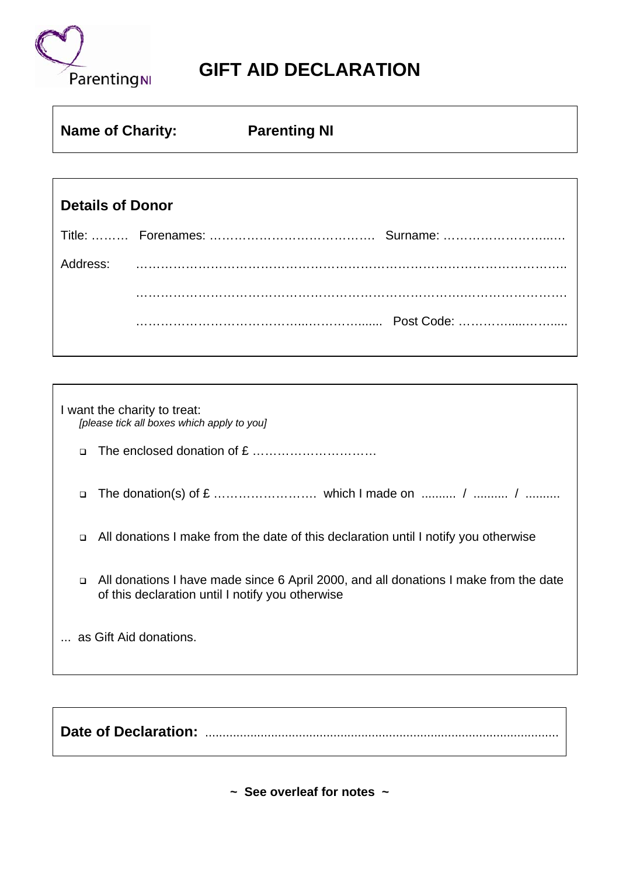

## **GIFT AID DECLARATION**

| <b>Name of Charity:</b> |  | <b>Parenting NI</b> |            |  |
|-------------------------|--|---------------------|------------|--|
|                         |  |                     |            |  |
| <b>Details of Donor</b> |  |                     |            |  |
|                         |  |                     |            |  |
| Address:                |  |                     |            |  |
|                         |  |                     |            |  |
|                         |  |                     | Post Code: |  |

| I want the charity to treat:<br>[please tick all boxes which apply to you] |                                                                                                                                          |  |  |
|----------------------------------------------------------------------------|------------------------------------------------------------------------------------------------------------------------------------------|--|--|
| $\Box$                                                                     |                                                                                                                                          |  |  |
| $\Box$                                                                     |                                                                                                                                          |  |  |
| $\Box$                                                                     | All donations I make from the date of this declaration until I notify you otherwise                                                      |  |  |
| $\Box$                                                                     | All donations I have made since 6 April 2000, and all donations I make from the date<br>of this declaration until I notify you otherwise |  |  |
| as Gift Aid donations.                                                     |                                                                                                                                          |  |  |

**Date of Declaration:** ......................................................................................................

**~ See overleaf for notes ~**